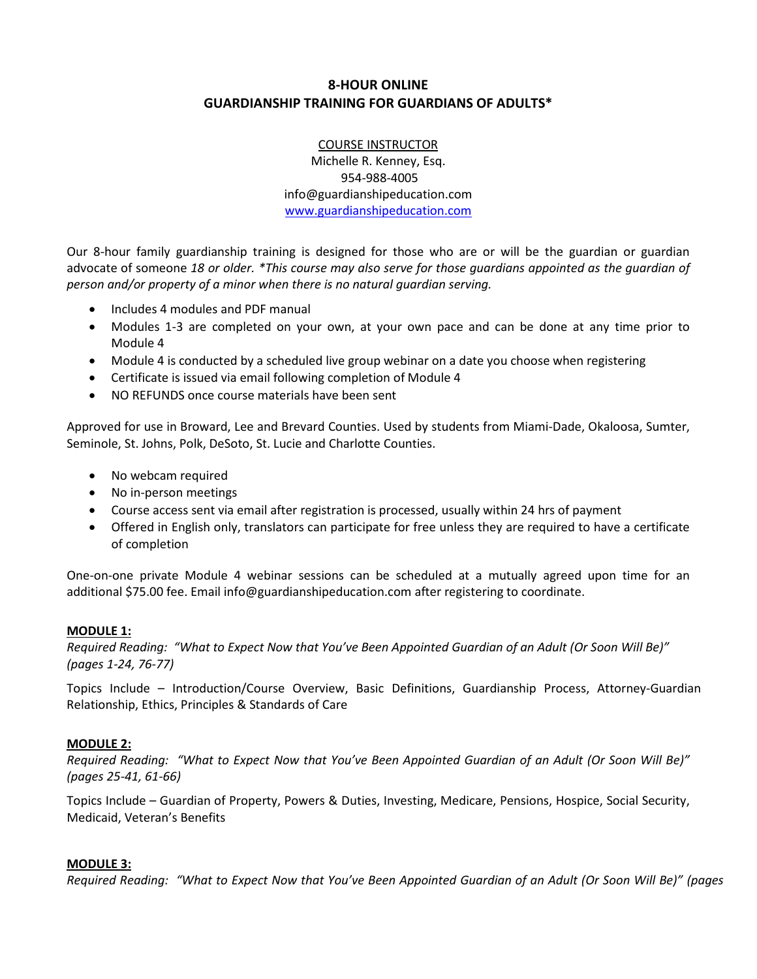# **8-HOUR ONLINE GUARDIANSHIP TRAINING FOR GUARDIANS OF ADULTS\***

COURSE INSTRUCTOR Michelle R. Kenney, Esq. 954-988-4005 info@guardianshipeducation.com [www.guardianshipeducation.com](http://www.guardianshipeducation.com/)

Our 8-hour family guardianship training is designed for those who are or will be the guardian or guardian advocate of someone *18 or older. \*This course may also serve for those guardians appointed as the guardian of person and/or property of a minor when there is no natural guardian serving.*

- Includes 4 modules and PDF manual
- Modules 1-3 are completed on your own, at your own pace and can be done at any time prior to Module 4
- Module 4 is conducted by a scheduled live group webinar on a date you choose when registering
- Certificate is issued via email following completion of Module 4
- NO REFUNDS once course materials have been sent

Approved for use in Broward, Lee and Brevard Counties. Used by students from Miami-Dade, Okaloosa, Sumter, Seminole, St. Johns, Polk, DeSoto, St. Lucie and Charlotte Counties.

- No webcam required
- No in-person meetings
- Course access sent via email after registration is processed, usually within 24 hrs of payment
- Offered in English only, translators can participate for free unless they are required to have a certificate of completion

One-on-one private Module 4 webinar sessions can be scheduled at a mutually agreed upon time for an additional \$75.00 fee. Email info@guardianshipeducation.com after registering to coordinate.

#### **MODULE 1:**

*Required Reading: "What to Expect Now that You've Been Appointed Guardian of an Adult (Or Soon Will Be)" (pages 1-24, 76-77)*

Topics Include – Introduction/Course Overview, Basic Definitions, Guardianship Process, Attorney-Guardian Relationship, Ethics, Principles & Standards of Care

#### **MODULE 2:**

*Required Reading: "What to Expect Now that You've Been Appointed Guardian of an Adult (Or Soon Will Be)" (pages 25-41, 61-66)*

Topics Include – Guardian of Property, Powers & Duties, Investing, Medicare, Pensions, Hospice, Social Security, Medicaid, Veteran's Benefits

#### **MODULE 3:**

*Required Reading: "What to Expect Now that You've Been Appointed Guardian of an Adult (Or Soon Will Be)" (pages*